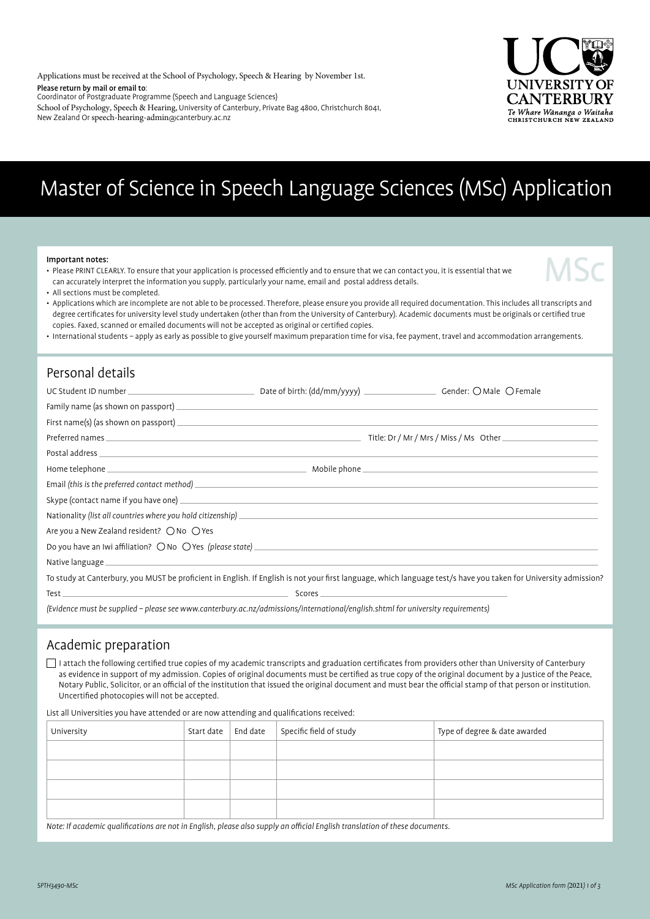Applications must be received at the School of Psychology, Speech & Hearing by November 1st.

Please return by mail or email to:

Coordinator of Postgraduate Programme (Speech and Language Sciences)

School of Psychology, Speech & Hearing, University of Canterbury, Private Bag 4800, Christchurch 8041, New Zealand Or speech-hearing-admin@canterbury.ac.nz



# Master of Science in Speech Language Sciences (MSc) Application

#### Important notes:

• Please PRINT CLEARLY. To ensure that your application is processed efficiently and to ensure that we can contact you, it is essential that we can accurately interpret the information you supply, particularly your name, email and postal address details.



• All sections must be completed.

• Applications which are incomplete are not able to be processed. Therefore, please ensure you provide all required documentation. This includes all transcripts and degree certificates for university level study undertaken (other than from the University of Canterbury). Academic documents must be originals or certified true copies. Faxed, scanned or emailed documents will not be accepted as original or certified copies.

• International students – apply as early as possible to give yourself maximum preparation time for visa, fee payment, travel and accommodation arrangements.

#### Personal details

| Postal address experiences and the second contract of the second contract of the second contract of the second                                                                                                                     |        |                                                                                                                                                                  |
|------------------------------------------------------------------------------------------------------------------------------------------------------------------------------------------------------------------------------------|--------|------------------------------------------------------------------------------------------------------------------------------------------------------------------|
|                                                                                                                                                                                                                                    |        |                                                                                                                                                                  |
|                                                                                                                                                                                                                                    |        |                                                                                                                                                                  |
|                                                                                                                                                                                                                                    |        |                                                                                                                                                                  |
| Nationality (list all countries where you hold citizenship)<br>and the contract of the countries where you hold citizenship)<br>and the contract of the contract of the contract of the contract of the contract of the contract o |        |                                                                                                                                                                  |
| Are you a New Zealand resident? $\bigcirc$ No $\bigcirc$ Yes                                                                                                                                                                       |        |                                                                                                                                                                  |
|                                                                                                                                                                                                                                    |        |                                                                                                                                                                  |
|                                                                                                                                                                                                                                    |        |                                                                                                                                                                  |
|                                                                                                                                                                                                                                    |        | To study at Canterbury, you MUST be proficient in English. If English is not your first language, which language test/s have you taken for University admission? |
| Test $\_$                                                                                                                                                                                                                          | Scores |                                                                                                                                                                  |

(Evidence must be supplied – please see www.canterbury.ac.nz/admissions/international/english.shtml for university requirements)

#### Academic preparation

 I attach the following certified true copies of my academic transcripts and graduation certificates from providers other than University of Canterbury as evidence in support of my admission. Copies of original documents must be certified as true copy of the original document by a Justice of the Peace, Notary Public, Solicitor, or an official of the institution that issued the original document and must bear the official stamp of that person or institution. Uncertified photocopies will not be accepted.

List all Universities you have attended or are now attending and qualifications received:

| University | Start date | End date | Specific field of study | Type of degree & date awarded |
|------------|------------|----------|-------------------------|-------------------------------|
|            |            |          |                         |                               |
|            |            |          |                         |                               |
|            |            |          |                         |                               |
|            |            |          |                         |                               |
|            |            |          |                         |                               |

Note: If academic qualifications are not in English, please also supply an official English translation of these documents.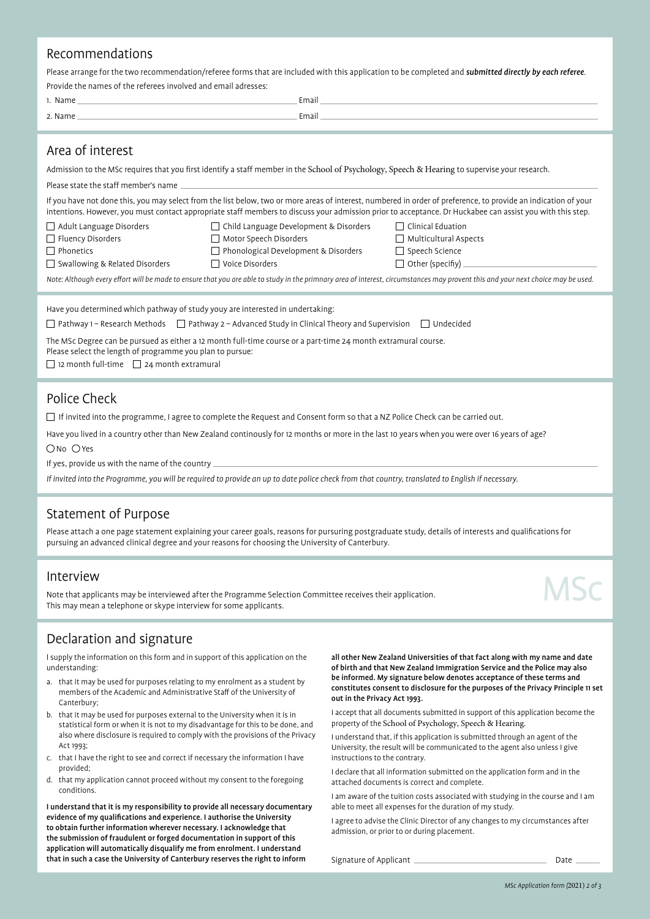#### Recommendations

Please arrange for the two recommendation/referee forms that are included with this application to be completed and submitted directly by each referee. Provide the names of the referees involved and email adresses:

| Name<br>. . | Email |
|-------------|-------|
| Name        | Email |
|             |       |

#### Area of interest

Admission to the MSc requires that you first identify a staff member in the School of Psychology, Speech & Hearing to supervise your research.

Please state the staff member's name

If you have not done this, you may select from the list below, two or more areas of interest, numbered in order of preference, to provide an indication of your intentions. However, you must contact appropriate staff members to discuss your admission prior to acceptance. Dr Huckabee can assist you with this step.

- Adult Language Disorders Child Language Development & Disorders Clinical Eduation
- $\Box$  Fluency Disorders  $\Box$  Motor Speech Disorders  $\Box$  Multicultural Aspects
- 
- $\Box$  Phonetics  $\Box$  Phonological Development & Disorders  $\Box$  Speech Science
- $\Box$  Swallowing & Related Disorders  $\Box$  Voice Disorders  $\Box$  Other (specifiy)
- 

Note: Although every effort will be made to ensure that you are able to study in the primnary area of interest, circumstances may provent this and your next choice may be used.

| Have you determined which pathway of study youy are interested in undertaking:                                 |                                                                                                                           |  |  |  |  |
|----------------------------------------------------------------------------------------------------------------|---------------------------------------------------------------------------------------------------------------------------|--|--|--|--|
|                                                                                                                | $\Box$ Pathway 1 – Research Methods $\Box$ Pathway 2 – Advanced Study in Clinical Theory and Supervision $\Box$ Undecided |  |  |  |  |
| The MSc Degree can be pursued as either a 12 month full-time course or a part-time 24 month extramural course. |                                                                                                                           |  |  |  |  |

Please select the length of programme you plan to pursue:

 $\Box$  12 month full-time  $\Box$  24 month extramural

#### Police Check

 $\Box$  If invited into the programme, I agree to complete the Request and Consent form so that a NZ Police Check can be carried out.

Have you lived in a country other than New Zealand continously for 12 months or more in the last 10 years when you were over 16 years of age?

ONo OYes

If yes, provide us with the name of the country

If invited into the Programme, you will be required to provide an up to date police check from that country, translated to English if necessary.

#### Statement of Purpose

Please attach a one page statement explaining your career goals, reasons for pursuring postgraduate study, details of interests and qualifications for pursuing an advanced clinical degree and your reasons for choosing the University of Canterbury.

#### Interview

Note that applicants may be interviewed after the Programme Selection Committee receives their application. This may mean a telephone or skype interview for some applicants.

# **MSC**

### Declaration and signature

I supply the information on this form and in support of this application on the understanding:

- a. that it may be used for purposes relating to my enrolment as a student by members of the Academic and Administrative Staff of the University of Canterbury;
- b. that it may be used for purposes external to the University when it is in statistical form or when it is not to my disadvantage for this to be done, and also where disclosure is required to comply with the provisions of the Privacy Act 1993;
- c. that I have the right to see and correct if necessary the information I have provided;
- d. that my application cannot proceed without my consent to the foregoing conditions.

I understand that it is my responsibility to provide all necessary documentary evidence of my qualifications and experience. I authorise the University to obtain further information wherever necessary. I acknowledge that the submission of fraudulent or forged documentation in support of this application will automatically disqualify me from enrolment. I understand that in such a case the University of Canterbury reserves the right to inform

all other New Zealand Universities of that fact along with my name and date of birth and that New Zealand Immigration Service and the Police may also be informed. My signature below denotes acceptance of these terms and constitutes consent to disclosure for the purposes of the Privacy Principle 11 set out in the Privacy Act 1993.

I accept that all documents submitted in support of this application become the property of the School of Psychology, Speech & Hearing.

I understand that, if this application is submitted through an agent of the University, the result will be communicated to the agent also unless I give instructions to the contrary.

I declare that all information submitted on the application form and in the attached documents is correct and complete.

I am aware of the tuition costs associated with studying in the course and I am able to meet all expenses for the duration of my study.

I agree to advise the Clinic Director of any changes to my circumstances after admission, or prior to or during placement.

Signature of Applicant Date